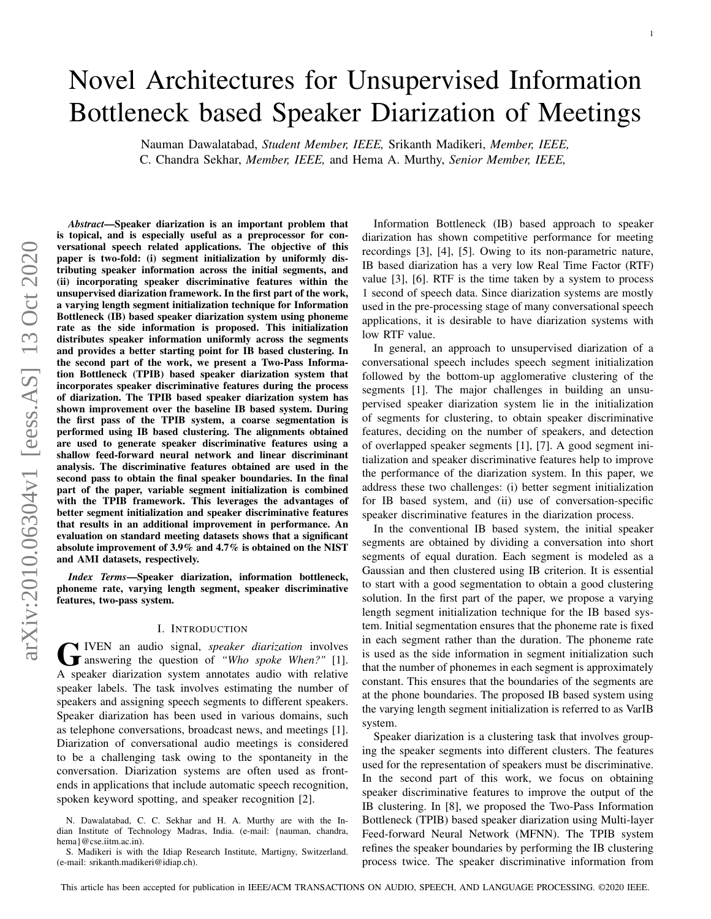# arXiv:2010.06304v1 [eess.AS] 13 Oct 2020 arXiv:2010.06304v1 [eess.AS] 13 Oct 2020

# Novel Architectures for Unsupervised Information Bottleneck based Speaker Diarization of Meetings

Nauman Dawalatabad, *Student Member, IEEE,* Srikanth Madikeri, *Member, IEEE,* C. Chandra Sekhar, *Member, IEEE,* and Hema A. Murthy, *Senior Member, IEEE,*

*Abstract*—Speaker diarization is an important problem that is topical, and is especially useful as a preprocessor for conversational speech related applications. The objective of this paper is two-fold: (i) segment initialization by uniformly distributing speaker information across the initial segments, and (ii) incorporating speaker discriminative features within the unsupervised diarization framework. In the first part of the work, a varying length segment initialization technique for Information Bottleneck (IB) based speaker diarization system using phoneme rate as the side information is proposed. This initialization distributes speaker information uniformly across the segments and provides a better starting point for IB based clustering. In the second part of the work, we present a Two-Pass Information Bottleneck (TPIB) based speaker diarization system that incorporates speaker discriminative features during the process of diarization. The TPIB based speaker diarization system has shown improvement over the baseline IB based system. During the first pass of the TPIB system, a coarse segmentation is performed using IB based clustering. The alignments obtained are used to generate speaker discriminative features using a shallow feed-forward neural network and linear discriminant analysis. The discriminative features obtained are used in the second pass to obtain the final speaker boundaries. In the final part of the paper, variable segment initialization is combined with the TPIB framework. This leverages the advantages of better segment initialization and speaker discriminative features that results in an additional improvement in performance. An evaluation on standard meeting datasets shows that a significant absolute improvement of 3.9% and 4.7% is obtained on the NIST and AMI datasets, respectively.

*Index Terms*—Speaker diarization, information bottleneck, phoneme rate, varying length segment, speaker discriminative features, two-pass system.

#### I. INTRODUCTION

G IVEN an audio signal, *speaker diarization* involves<br>answering the question of *"Who spoke When?"* [1]. IVEN an audio signal, *speaker diarization* involves A speaker diarization system annotates audio with relative speaker labels. The task involves estimating the number of speakers and assigning speech segments to different speakers. Speaker diarization has been used in various domains, such as telephone conversations, broadcast news, and meetings [1]. Diarization of conversational audio meetings is considered to be a challenging task owing to the spontaneity in the conversation. Diarization systems are often used as frontends in applications that include automatic speech recognition, spoken keyword spotting, and speaker recognition [2].

Information Bottleneck (IB) based approach to speaker diarization has shown competitive performance for meeting recordings [3], [4], [5]. Owing to its non-parametric nature, IB based diarization has a very low Real Time Factor (RTF) value [3], [6]. RTF is the time taken by a system to process 1 second of speech data. Since diarization systems are mostly used in the pre-processing stage of many conversational speech applications, it is desirable to have diarization systems with low RTF value.

In general, an approach to unsupervised diarization of a conversational speech includes speech segment initialization followed by the bottom-up agglomerative clustering of the segments [1]. The major challenges in building an unsupervised speaker diarization system lie in the initialization of segments for clustering, to obtain speaker discriminative features, deciding on the number of speakers, and detection of overlapped speaker segments [1], [7]. A good segment initialization and speaker discriminative features help to improve the performance of the diarization system. In this paper, we address these two challenges: (i) better segment initialization for IB based system, and (ii) use of conversation-specific speaker discriminative features in the diarization process.

In the conventional IB based system, the initial speaker segments are obtained by dividing a conversation into short segments of equal duration. Each segment is modeled as a Gaussian and then clustered using IB criterion. It is essential to start with a good segmentation to obtain a good clustering solution. In the first part of the paper, we propose a varying length segment initialization technique for the IB based system. Initial segmentation ensures that the phoneme rate is fixed in each segment rather than the duration. The phoneme rate is used as the side information in segment initialization such that the number of phonemes in each segment is approximately constant. This ensures that the boundaries of the segments are at the phone boundaries. The proposed IB based system using the varying length segment initialization is referred to as VarIB system.

Speaker diarization is a clustering task that involves grouping the speaker segments into different clusters. The features used for the representation of speakers must be discriminative. In the second part of this work, we focus on obtaining speaker discriminative features to improve the output of the IB clustering. In [8], we proposed the Two-Pass Information Bottleneck (TPIB) based speaker diarization using Multi-layer Feed-forward Neural Network (MFNN). The TPIB system refines the speaker boundaries by performing the IB clustering process twice. The speaker discriminative information from

N. Dawalatabad, C. C. Sekhar and H. A. Murthy are with the Indian Institute of Technology Madras, India. (e-mail: {nauman, chandra, hema}@cse.iitm.ac.in).

S. Madikeri is with the Idiap Research Institute, Martigny, Switzerland. (e-mail: srikanth.madikeri@idiap.ch).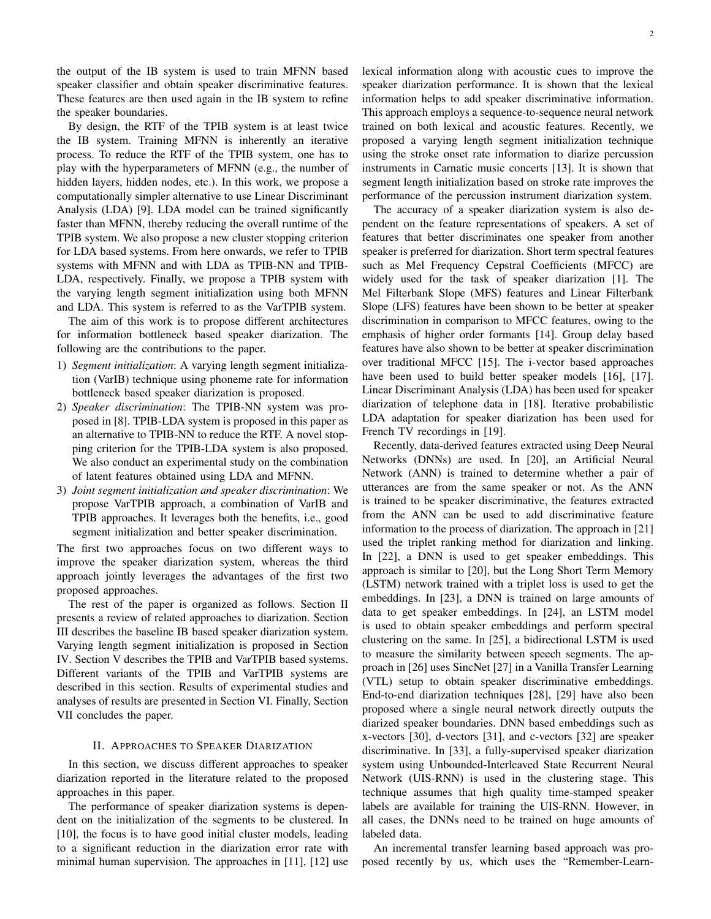the output of the IB system is used to train MFNN based speaker classifier and obtain speaker discriminative features. These features are then used again in the IB system to refine the speaker boundaries.

By design, the RTF of the TPIB system is at least twice the IB system. Training MFNN is inherently an iterative process. To reduce the RTF of the TPIB system, one has to play with the hyperparameters of MFNN (e.g., the number of hidden layers, hidden nodes, etc.). In this work, we propose a computationally simpler alternative to use Linear Discriminant Analysis (LDA) [9]. LDA model can be trained significantly faster than MFNN, thereby reducing the overall runtime of the TPIB system. We also propose a new cluster stopping criterion for LDA based systems. From here onwards, we refer to TPIB systems with MFNN and with LDA as TPIB-NN and TPIB-LDA, respectively. Finally, we propose a TPIB system with the varying length segment initialization using both MFNN and LDA. This system is referred to as the VarTPIB system.

The aim of this work is to propose different architectures for information bottleneck based speaker diarization. The following are the contributions to the paper.

- 1) *Segment initialization*: A varying length segment initialization (VarIB) technique using phoneme rate for information bottleneck based speaker diarization is proposed.
- 2) *Speaker discrimination*: The TPIB-NN system was proposed in [8]. TPIB-LDA system is proposed in this paper as an alternative to TPIB-NN to reduce the RTF. A novel stopping criterion for the TPIB-LDA system is also proposed. We also conduct an experimental study on the combination of latent features obtained using LDA and MFNN.
- 3) *Joint segment initialization and speaker discrimination*: We propose VarTPIB approach, a combination of VarIB and TPIB approaches. It leverages both the benefits, i.e., good segment initialization and better speaker discrimination.

The first two approaches focus on two different ways to improve the speaker diarization system, whereas the third approach jointly leverages the advantages of the first two proposed approaches.

The rest of the paper is organized as follows. Section II presents a review of related approaches to diarization. Section III describes the baseline IB based speaker diarization system. Varying length segment initialization is proposed in Section IV. Section V describes the TPIB and VarTPIB based systems. Different variants of the TPIB and VarTPIB systems are described in this section. Results of experimental studies and analyses of results are presented in Section VI. Finally, Section VII concludes the paper.

## II. APPROACHES TO SPEAKER DIARIZATION

In this section, we discuss different approaches to speaker diarization reported in the literature related to the proposed approaches in this paper.

The performance of speaker diarization systems is dependent on the initialization of the segments to be clustered. In [10], the focus is to have good initial cluster models, leading to a significant reduction in the diarization error rate with minimal human supervision. The approaches in [11], [12] use lexical information along with acoustic cues to improve the speaker diarization performance. It is shown that the lexical information helps to add speaker discriminative information. This approach employs a sequence-to-sequence neural network trained on both lexical and acoustic features. Recently, we proposed a varying length segment initialization technique using the stroke onset rate information to diarize percussion instruments in Carnatic music concerts [13]. It is shown that segment length initialization based on stroke rate improves the performance of the percussion instrument diarization system.

The accuracy of a speaker diarization system is also dependent on the feature representations of speakers. A set of features that better discriminates one speaker from another speaker is preferred for diarization. Short term spectral features such as Mel Frequency Cepstral Coefficients (MFCC) are widely used for the task of speaker diarization [1]. The Mel Filterbank Slope (MFS) features and Linear Filterbank Slope (LFS) features have been shown to be better at speaker discrimination in comparison to MFCC features, owing to the emphasis of higher order formants [14]. Group delay based features have also shown to be better at speaker discrimination over traditional MFCC [15]. The i-vector based approaches have been used to build better speaker models [16], [17]. Linear Discriminant Analysis (LDA) has been used for speaker diarization of telephone data in [18]. Iterative probabilistic LDA adaptation for speaker diarization has been used for French TV recordings in [19].

Recently, data-derived features extracted using Deep Neural Networks (DNNs) are used. In [20], an Artificial Neural Network (ANN) is trained to determine whether a pair of utterances are from the same speaker or not. As the ANN is trained to be speaker discriminative, the features extracted from the ANN can be used to add discriminative feature information to the process of diarization. The approach in [21] used the triplet ranking method for diarization and linking. In [22], a DNN is used to get speaker embeddings. This approach is similar to [20], but the Long Short Term Memory (LSTM) network trained with a triplet loss is used to get the embeddings. In [23], a DNN is trained on large amounts of data to get speaker embeddings. In [24], an LSTM model is used to obtain speaker embeddings and perform spectral clustering on the same. In [25], a bidirectional LSTM is used to measure the similarity between speech segments. The approach in [26] uses SincNet [27] in a Vanilla Transfer Learning (VTL) setup to obtain speaker discriminative embeddings. End-to-end diarization techniques [28], [29] have also been proposed where a single neural network directly outputs the diarized speaker boundaries. DNN based embeddings such as x-vectors [30], d-vectors [31], and c-vectors [32] are speaker discriminative. In [33], a fully-supervised speaker diarization system using Unbounded-Interleaved State Recurrent Neural Network (UIS-RNN) is used in the clustering stage. This technique assumes that high quality time-stamped speaker labels are available for training the UIS-RNN. However, in all cases, the DNNs need to be trained on huge amounts of labeled data.

An incremental transfer learning based approach was proposed recently by us, which uses the "Remember-Learn-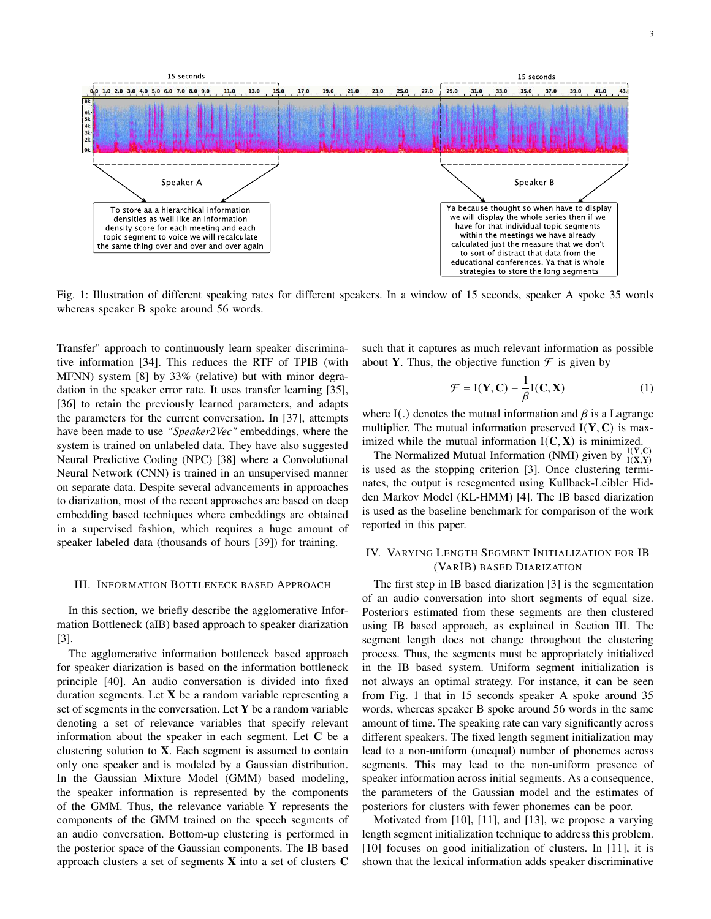

Fig. 1: Illustration of different speaking rates for different speakers. In a window of 15 seconds, speaker A spoke 35 words whereas speaker B spoke around 56 words.

Transfer" approach to continuously learn speaker discriminative information [34]. This reduces the RTF of TPIB (with MFNN) system [8] by 33% (relative) but with minor degradation in the speaker error rate. It uses transfer learning [35], [36] to retain the previously learned parameters, and adapts the parameters for the current conversation. In [37], attempts have been made to use *"Speaker2Vec"* embeddings, where the system is trained on unlabeled data. They have also suggested Neural Predictive Coding (NPC) [38] where a Convolutional Neural Network (CNN) is trained in an unsupervised manner on separate data. Despite several advancements in approaches to diarization, most of the recent approaches are based on deep embedding based techniques where embeddings are obtained in a supervised fashion, which requires a huge amount of speaker labeled data (thousands of hours [39]) for training.

#### III. INFORMATION BOTTLENECK BASED APPROACH

In this section, we briefly describe the agglomerative Information Bottleneck (aIB) based approach to speaker diarization [3].

The agglomerative information bottleneck based approach for speaker diarization is based on the information bottleneck principle [40]. An audio conversation is divided into fixed duration segments. Let **X** be a random variable representing a set of segments in the conversation. Let **Y** be a random variable denoting a set of relevance variables that specify relevant information about the speaker in each segment. Let **C** be a clustering solution to **X**. Each segment is assumed to contain only one speaker and is modeled by a Gaussian distribution. In the Gaussian Mixture Model (GMM) based modeling, the speaker information is represented by the components of the GMM. Thus, the relevance variable **Y** represents the components of the GMM trained on the speech segments of an audio conversation. Bottom-up clustering is performed in the posterior space of the Gaussian components. The IB based approach clusters a set of segments **X** into a set of clusters **C**

such that it captures as much relevant information as possible about **Y**. Thus, the objective function  $\mathcal{F}$  is given by

$$
\mathcal{F} = \mathbf{I}(\mathbf{Y}, \mathbf{C}) - \frac{1}{\beta} \mathbf{I}(\mathbf{C}, \mathbf{X})
$$
 (1)

where I(.) denotes the mutual information and  $\beta$  is a Lagrange multiplier. The mutual information preserved  $I(Y, C)$  is maximized while the mutual information  $I(C, X)$  is minimized.

The Normalized Mutual Information (NMI) given by  $\frac{I(Y,C)}{I(X,Y)}$ is used as the stopping criterion [3]. Once clustering terminates, the output is resegmented using Kullback-Leibler Hidden Markov Model (KL-HMM) [4]. The IB based diarization is used as the baseline benchmark for comparison of the work reported in this paper.

# IV. VARYING LENGTH SEGMENT INITIALIZATION FOR IB (VARIB) BASED DIARIZATION

The first step in IB based diarization [3] is the segmentation of an audio conversation into short segments of equal size. Posteriors estimated from these segments are then clustered using IB based approach, as explained in Section III. The segment length does not change throughout the clustering process. Thus, the segments must be appropriately initialized in the IB based system. Uniform segment initialization is not always an optimal strategy. For instance, it can be seen from Fig. 1 that in 15 seconds speaker A spoke around 35 words, whereas speaker B spoke around 56 words in the same amount of time. The speaking rate can vary significantly across different speakers. The fixed length segment initialization may lead to a non-uniform (unequal) number of phonemes across segments. This may lead to the non-uniform presence of speaker information across initial segments. As a consequence, the parameters of the Gaussian model and the estimates of posteriors for clusters with fewer phonemes can be poor.

Motivated from [10], [11], and [13], we propose a varying length segment initialization technique to address this problem. [10] focuses on good initialization of clusters. In [11], it is shown that the lexical information adds speaker discriminative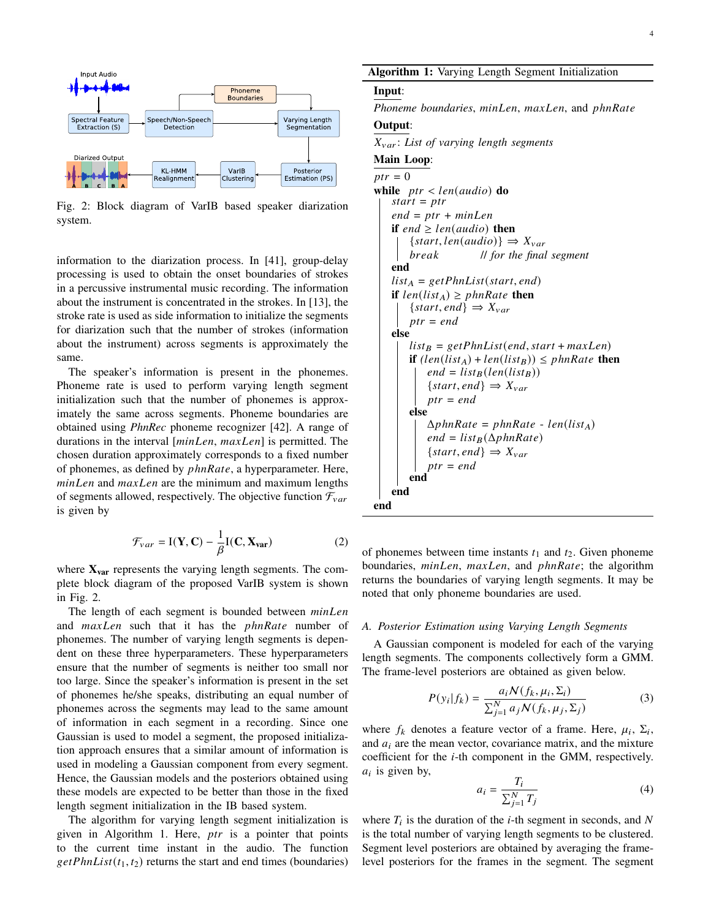

Fig. 2: Block diagram of VarIB based speaker diarization system.

information to the diarization process. In [41], group-delay processing is used to obtain the onset boundaries of strokes in a percussive instrumental music recording. The information about the instrument is concentrated in the strokes. In [13], the stroke rate is used as side information to initialize the segments for diarization such that the number of strokes (information about the instrument) across segments is approximately the same.

The speaker's information is present in the phonemes. Phoneme rate is used to perform varying length segment initialization such that the number of phonemes is approximately the same across segments. Phoneme boundaries are obtained using *PhnRec* phoneme recognizer [42]. A range of durations in the interval  $[minLen, maxLen]$  is permitted. The chosen duration approximately corresponds to a fixed number of phonemes, as defined by  $phnRate$ , a hyperparameter. Here,  $minLen$  and  $maxLen$  are the minimum and maximum lengths of segments allowed, respectively. The objective function  $\mathcal{F}_{var}$ is given by

$$
\mathcal{F}_{var} = \mathbf{I}(\mathbf{Y}, \mathbf{C}) - \frac{1}{\beta} \mathbf{I}(\mathbf{C}, \mathbf{X}_{var})
$$
 (2)

where **Xvar** represents the varying length segments. The complete block diagram of the proposed VarIB system is shown in Fig. 2.

The length of each segment is bounded between *minLen* and maxLen such that it has the phnRate number of phonemes. The number of varying length segments is dependent on these three hyperparameters. These hyperparameters ensure that the number of segments is neither too small nor too large. Since the speaker's information is present in the set of phonemes he/she speaks, distributing an equal number of phonemes across the segments may lead to the same amount of information in each segment in a recording. Since one Gaussian is used to model a segment, the proposed initialization approach ensures that a similar amount of information is used in modeling a Gaussian component from every segment. Hence, the Gaussian models and the posteriors obtained using these models are expected to be better than those in the fixed length segment initialization in the IB based system.

The algorithm for varying length segment initialization is given in Algorithm 1. Here,  $ptr$  is a pointer that points to the current time instant in the audio. The function  $getPhnList(t_1, t_2)$  returns the start and end times (boundaries)

# Algorithm 1: Varying Length Segment Initialization

# Input:

*Phoneme boundaries, minLen, maxLen, and phnRate* 

# Output:

: *List of varying length segments*

# Main Loop:

```
ptr = 0while ptr < len(audio) do
    \hat{start} = \hat{p}end = ptr + minLenif end \geq len(audio) then
        \{start, len(audio)\}\Rightarrow X_{var} // for the final segment
    end
    list_A = getPhnList(start, end)if len(list_A) \geq phnRate then
        \{start, end\} \Rightarrow X_{var}ptr = endelse
       list_B = getPhnList(end, start + maxLen)if (len(list_A) + len(list_B)) \leq phnRate then
            end = list_{B}(len(list_{B}))\{start, end\} \Rightarrow X_{var}ptr = endelse
            \Delta phnRate = phnRate - len(list_A)end = list_{B}(\Delta phnRate)\{start, end\} \Rightarrow X_{var}ptr = endend
    end
end
```
of phonemes between time instants  $t_1$  and  $t_2$ . Given phoneme boundaries,  $minLen$ ,  $maxLen$ , and  $phnRate$ ; the algorithm returns the boundaries of varying length segments. It may be noted that only phoneme boundaries are used.

#### *A. Posterior Estimation using Varying Length Segments*

A Gaussian component is modeled for each of the varying length segments. The components collectively form a GMM. The frame-level posteriors are obtained as given below.

$$
P(y_i|f_k) = \frac{a_i N(f_k, \mu_i, \Sigma_i)}{\sum_{j=1}^{N} a_j N(f_k, \mu_j, \Sigma_j)}
$$
(3)

where  $f_k$  denotes a feature vector of a frame. Here,  $\mu_i$ ,  $\Sigma_i$ , and  $a_i$  are the mean vector, covariance matrix, and the mixture coefficient for the  $i$ -th component in the GMM, respectively.  $a_i$  is given by,

$$
a_i = \frac{T_i}{\sum_{j=1}^{N} T_j} \tag{4}
$$

where  $T_i$  is the duration of the *i*-th segment in seconds, and N is the total number of varying length segments to be clustered. Segment level posteriors are obtained by averaging the framelevel posteriors for the frames in the segment. The segment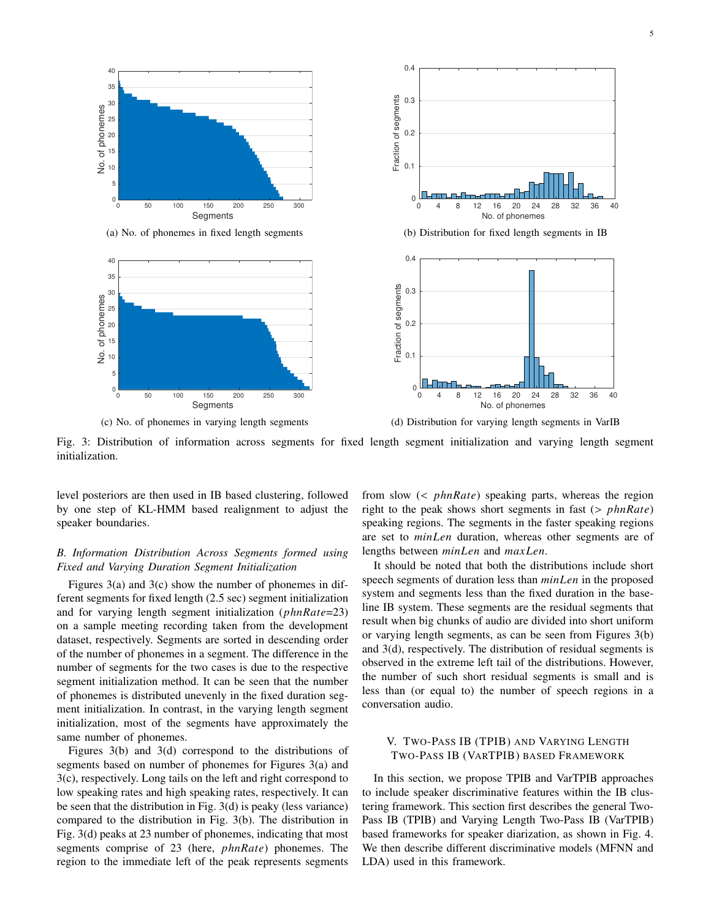

(a) No. of phonemes in fixed length segments



(c) No. of phonemes in varying length segments





Fig. 3: Distribution of information across segments for fixed length segment initialization and varying length segment initialization.

level posteriors are then used in IB based clustering, followed by one step of KL-HMM based realignment to adjust the speaker boundaries.

# *B. Information Distribution Across Segments formed using Fixed and Varying Duration Segment Initialization*

Figures 3(a) and 3(c) show the number of phonemes in different segments for fixed length (2.5 sec) segment initialization and for varying length segment initialization  $(phnRate=23)$ on a sample meeting recording taken from the development dataset, respectively. Segments are sorted in descending order of the number of phonemes in a segment. The difference in the number of segments for the two cases is due to the respective segment initialization method. It can be seen that the number of phonemes is distributed unevenly in the fixed duration segment initialization. In contrast, in the varying length segment initialization, most of the segments have approximately the same number of phonemes.

Figures 3(b) and 3(d) correspond to the distributions of segments based on number of phonemes for Figures 3(a) and 3(c), respectively. Long tails on the left and right correspond to low speaking rates and high speaking rates, respectively. It can be seen that the distribution in Fig. 3(d) is peaky (less variance) compared to the distribution in Fig. 3(b). The distribution in Fig. 3(d) peaks at 23 number of phonemes, indicating that most segments comprise of  $23$  (here,  $phnRate$ ) phonemes. The region to the immediate left of the peak represents segments

from slow  $\left( \langle \ \rangle \ \text{phnRate} \right)$  speaking parts, whereas the region right to the peak shows short segments in fast  $(> phnRate)$ speaking regions. The segments in the faster speaking regions are set to *minLen* duration, whereas other segments are of lengths between  $minLen$  and  $maxLen$ .

It should be noted that both the distributions include short speech segments of duration less than  $minLen$  in the proposed system and segments less than the fixed duration in the baseline IB system. These segments are the residual segments that result when big chunks of audio are divided into short uniform or varying length segments, as can be seen from Figures 3(b) and 3(d), respectively. The distribution of residual segments is observed in the extreme left tail of the distributions. However, the number of such short residual segments is small and is less than (or equal to) the number of speech regions in a conversation audio.

# V. TWO-PASS IB (TPIB) AND VARYING LENGTH TWO-PASS IB (VARTPIB) BASED FRAMEWORK

In this section, we propose TPIB and VarTPIB approaches to include speaker discriminative features within the IB clustering framework. This section first describes the general Two-Pass IB (TPIB) and Varying Length Two-Pass IB (VarTPIB) based frameworks for speaker diarization, as shown in Fig. 4. We then describe different discriminative models (MFNN and LDA) used in this framework.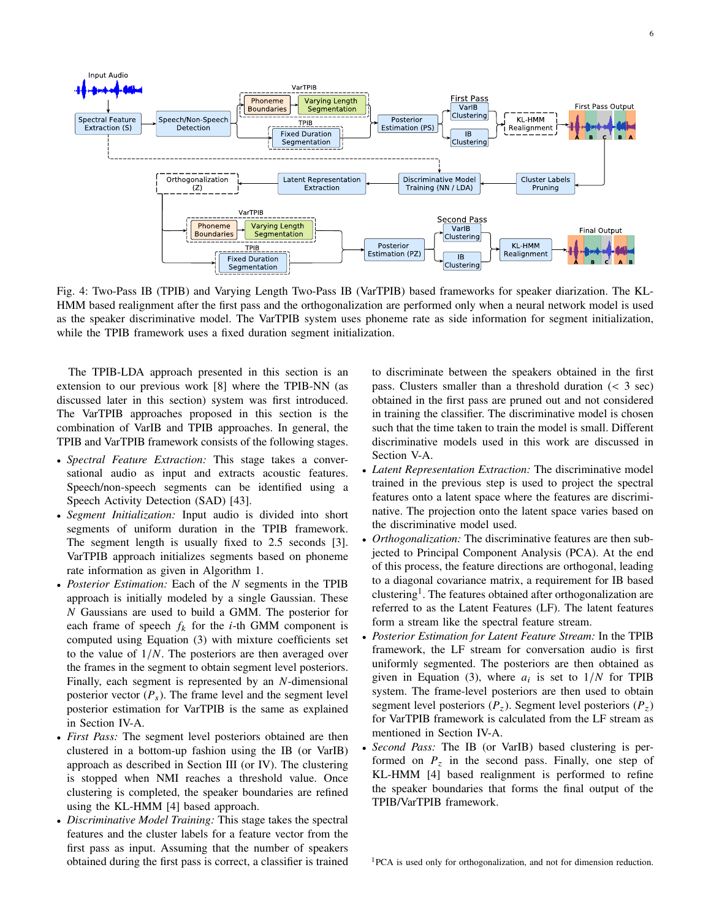

Fig. 4: Two-Pass IB (TPIB) and Varying Length Two-Pass IB (VarTPIB) based frameworks for speaker diarization. The KL-HMM based realignment after the first pass and the orthogonalization are performed only when a neural network model is used as the speaker discriminative model. The VarTPIB system uses phoneme rate as side information for segment initialization, while the TPIB framework uses a fixed duration segment initialization.

The TPIB-LDA approach presented in this section is an extension to our previous work [8] where the TPIB-NN (as discussed later in this section) system was first introduced. The VarTPIB approaches proposed in this section is the combination of VarIB and TPIB approaches. In general, the TPIB and VarTPIB framework consists of the following stages.

- *Spectral Feature Extraction:* This stage takes a conversational audio as input and extracts acoustic features. Speech/non-speech segments can be identified using a Speech Activity Detection (SAD) [43].
- *Segment Initialization:* Input audio is divided into short segments of uniform duration in the TPIB framework. The segment length is usually fixed to 2.5 seconds [3]. VarTPIB approach initializes segments based on phoneme rate information as given in Algorithm 1.
- *Posterior Estimation:* Each of the *N* segments in the TPIB approach is initially modeled by a single Gaussian. These  $N$  Gaussians are used to build a GMM. The posterior for each frame of speech  $f_k$  for the *i*-th GMM component is computed using Equation (3) with mixture coefficients set to the value of  $1/N$ . The posteriors are then averaged over the frames in the segment to obtain segment level posteriors. Finally, each segment is represented by an  $N$ -dimensional posterior vector  $(P_s)$ . The frame level and the segment level posterior estimation for VarTPIB is the same as explained in Section IV-A.
- *First Pass:* The segment level posteriors obtained are then clustered in a bottom-up fashion using the IB (or VarIB) approach as described in Section III (or IV). The clustering is stopped when NMI reaches a threshold value. Once clustering is completed, the speaker boundaries are refined using the KL-HMM [4] based approach.
- *Discriminative Model Training:* This stage takes the spectral features and the cluster labels for a feature vector from the first pass as input. Assuming that the number of speakers obtained during the first pass is correct, a classifier is trained

to discriminate between the speakers obtained in the first pass. Clusters smaller than a threshold duration (< 3 sec) obtained in the first pass are pruned out and not considered in training the classifier. The discriminative model is chosen such that the time taken to train the model is small. Different discriminative models used in this work are discussed in Section V-A.

- *Latent Representation Extraction:* The discriminative model trained in the previous step is used to project the spectral features onto a latent space where the features are discriminative. The projection onto the latent space varies based on the discriminative model used.
- *Orthogonalization:* The discriminative features are then subjected to Principal Component Analysis (PCA). At the end of this process, the feature directions are orthogonal, leading to a diagonal covariance matrix, a requirement for IB based clustering<sup>1</sup>. The features obtained after orthogonalization are referred to as the Latent Features (LF). The latent features form a stream like the spectral feature stream.
- *Posterior Estimation for Latent Feature Stream:* In the TPIB framework, the LF stream for conversation audio is first uniformly segmented. The posteriors are then obtained as given in Equation (3), where  $a_i$  is set to  $1/N$  for TPIB system. The frame-level posteriors are then used to obtain segment level posteriors  $(P_z)$ . Segment level posteriors  $(P_z)$ for VarTPIB framework is calculated from the LF stream as mentioned in Section IV-A.
- *Second Pass:* The IB (or VarIB) based clustering is performed on  $P<sub>z</sub>$  in the second pass. Finally, one step of KL-HMM [4] based realignment is performed to refine the speaker boundaries that forms the final output of the TPIB/VarTPIB framework.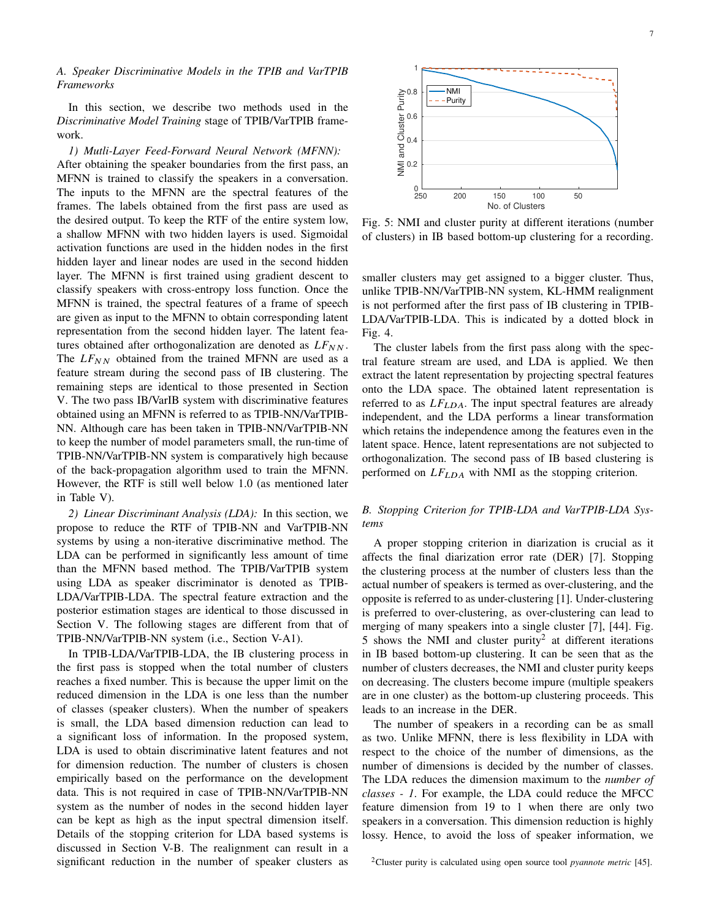# *A. Speaker Discriminative Models in the TPIB and VarTPIB Frameworks*

In this section, we describe two methods used in the *Discriminative Model Training* stage of TPIB/VarTPIB framework.

*1) Mutli-Layer Feed-Forward Neural Network (MFNN):* After obtaining the speaker boundaries from the first pass, an MFNN is trained to classify the speakers in a conversation. The inputs to the MFNN are the spectral features of the frames. The labels obtained from the first pass are used as the desired output. To keep the RTF of the entire system low, a shallow MFNN with two hidden layers is used. Sigmoidal activation functions are used in the hidden nodes in the first hidden layer and linear nodes are used in the second hidden layer. The MFNN is first trained using gradient descent to classify speakers with cross-entropy loss function. Once the MFNN is trained, the spectral features of a frame of speech are given as input to the MFNN to obtain corresponding latent representation from the second hidden layer. The latent features obtained after orthogonalization are denoted as  $LF_{NN}$ . The  $LF_{NN}$  obtained from the trained MFNN are used as a feature stream during the second pass of IB clustering. The remaining steps are identical to those presented in Section V. The two pass IB/VarIB system with discriminative features obtained using an MFNN is referred to as TPIB-NN/VarTPIB-NN. Although care has been taken in TPIB-NN/VarTPIB-NN to keep the number of model parameters small, the run-time of TPIB-NN/VarTPIB-NN system is comparatively high because of the back-propagation algorithm used to train the MFNN. However, the RTF is still well below 1.0 (as mentioned later in Table V).

*2) Linear Discriminant Analysis (LDA):* In this section, we propose to reduce the RTF of TPIB-NN and VarTPIB-NN systems by using a non-iterative discriminative method. The LDA can be performed in significantly less amount of time than the MFNN based method. The TPIB/VarTPIB system using LDA as speaker discriminator is denoted as TPIB-LDA/VarTPIB-LDA. The spectral feature extraction and the posterior estimation stages are identical to those discussed in Section V. The following stages are different from that of TPIB-NN/VarTPIB-NN system (i.e., Section V-A1).

In TPIB-LDA/VarTPIB-LDA, the IB clustering process in the first pass is stopped when the total number of clusters reaches a fixed number. This is because the upper limit on the reduced dimension in the LDA is one less than the number of classes (speaker clusters). When the number of speakers is small, the LDA based dimension reduction can lead to a significant loss of information. In the proposed system, LDA is used to obtain discriminative latent features and not for dimension reduction. The number of clusters is chosen empirically based on the performance on the development data. This is not required in case of TPIB-NN/VarTPIB-NN system as the number of nodes in the second hidden layer can be kept as high as the input spectral dimension itself. Details of the stopping criterion for LDA based systems is discussed in Section V-B. The realignment can result in a significant reduction in the number of speaker clusters as



Fig. 5: NMI and cluster purity at different iterations (number of clusters) in IB based bottom-up clustering for a recording.

smaller clusters may get assigned to a bigger cluster. Thus, unlike TPIB-NN/VarTPIB-NN system, KL-HMM realignment is not performed after the first pass of IB clustering in TPIB-LDA/VarTPIB-LDA. This is indicated by a dotted block in Fig. 4.

The cluster labels from the first pass along with the spectral feature stream are used, and LDA is applied. We then extract the latent representation by projecting spectral features onto the LDA space. The obtained latent representation is referred to as  $LF<sub>LDA</sub>$ . The input spectral features are already independent, and the LDA performs a linear transformation which retains the independence among the features even in the latent space. Hence, latent representations are not subjected to orthogonalization. The second pass of IB based clustering is performed on  $LF_{LDA}$  with NMI as the stopping criterion.

# *B. Stopping Criterion for TPIB-LDA and VarTPIB-LDA Systems*

A proper stopping criterion in diarization is crucial as it affects the final diarization error rate (DER) [7]. Stopping the clustering process at the number of clusters less than the actual number of speakers is termed as over-clustering, and the opposite is referred to as under-clustering [1]. Under-clustering is preferred to over-clustering, as over-clustering can lead to merging of many speakers into a single cluster [7], [44]. Fig. 5 shows the NMI and cluster purity<sup>2</sup> at different iterations in IB based bottom-up clustering. It can be seen that as the number of clusters decreases, the NMI and cluster purity keeps on decreasing. The clusters become impure (multiple speakers are in one cluster) as the bottom-up clustering proceeds. This leads to an increase in the DER.

The number of speakers in a recording can be as small as two. Unlike MFNN, there is less flexibility in LDA with respect to the choice of the number of dimensions, as the number of dimensions is decided by the number of classes. The LDA reduces the dimension maximum to the *number of classes - 1*. For example, the LDA could reduce the MFCC feature dimension from 19 to 1 when there are only two speakers in a conversation. This dimension reduction is highly lossy. Hence, to avoid the loss of speaker information, we

<sup>2</sup>Cluster purity is calculated using open source tool *pyannote metric* [45].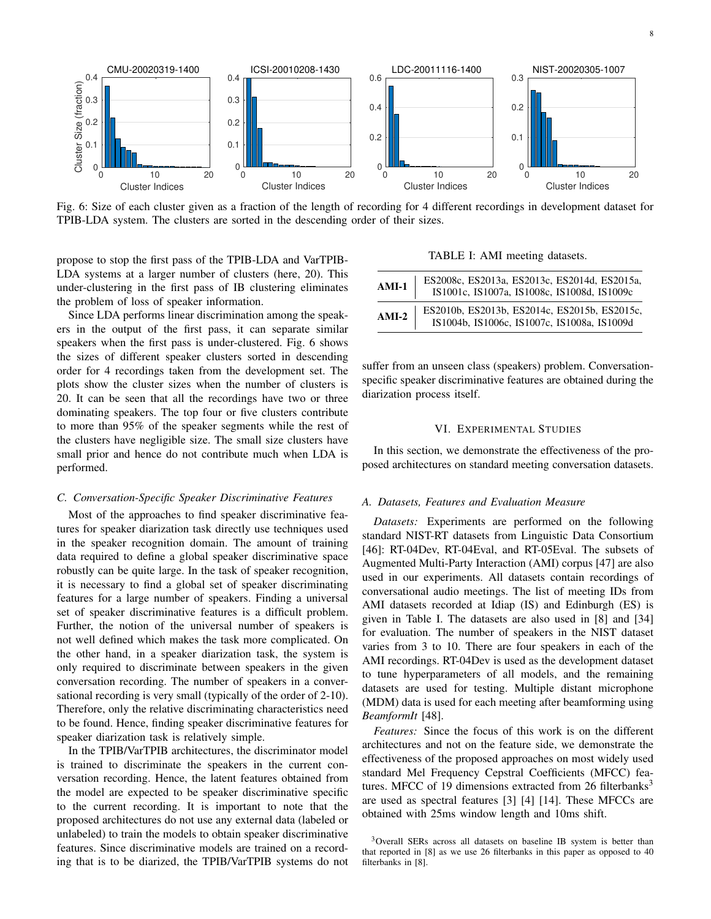

Fig. 6: Size of each cluster given as a fraction of the length of recording for 4 different recordings in development dataset for TPIB-LDA system. The clusters are sorted in the descending order of their sizes.

propose to stop the first pass of the TPIB-LDA and VarTPIB-LDA systems at a larger number of clusters (here, 20). This under-clustering in the first pass of IB clustering eliminates the problem of loss of speaker information.

Since LDA performs linear discrimination among the speakers in the output of the first pass, it can separate similar speakers when the first pass is under-clustered. Fig. 6 shows the sizes of different speaker clusters sorted in descending order for 4 recordings taken from the development set. The plots show the cluster sizes when the number of clusters is 20. It can be seen that all the recordings have two or three dominating speakers. The top four or five clusters contribute to more than 95% of the speaker segments while the rest of the clusters have negligible size. The small size clusters have small prior and hence do not contribute much when LDA is performed.

#### *C. Conversation-Specific Speaker Discriminative Features*

Most of the approaches to find speaker discriminative features for speaker diarization task directly use techniques used in the speaker recognition domain. The amount of training data required to define a global speaker discriminative space robustly can be quite large. In the task of speaker recognition, it is necessary to find a global set of speaker discriminating features for a large number of speakers. Finding a universal set of speaker discriminative features is a difficult problem. Further, the notion of the universal number of speakers is not well defined which makes the task more complicated. On the other hand, in a speaker diarization task, the system is only required to discriminate between speakers in the given conversation recording. The number of speakers in a conversational recording is very small (typically of the order of 2-10). Therefore, only the relative discriminating characteristics need to be found. Hence, finding speaker discriminative features for speaker diarization task is relatively simple.

In the TPIB/VarTPIB architectures, the discriminator model is trained to discriminate the speakers in the current conversation recording. Hence, the latent features obtained from the model are expected to be speaker discriminative specific to the current recording. It is important to note that the proposed architectures do not use any external data (labeled or unlabeled) to train the models to obtain speaker discriminative features. Since discriminative models are trained on a recording that is to be diarized, the TPIB/VarTPIB systems do not

TABLE I: AMI meeting datasets.

| $AMI-1$ | ES2008c, ES2013a, ES2013c, ES2014d, ES2015a,<br>IS1001c, IS1007a, IS1008c, IS1008d, IS1009c |
|---------|---------------------------------------------------------------------------------------------|
| $AMI-2$ | ES2010b, ES2013b, ES2014c, ES2015b, ES2015c,<br>IS1004b, IS1006c, IS1007c, IS1008a, IS1009d |

suffer from an unseen class (speakers) problem. Conversationspecific speaker discriminative features are obtained during the diarization process itself.

#### VI. EXPERIMENTAL STUDIES

In this section, we demonstrate the effectiveness of the proposed architectures on standard meeting conversation datasets.

#### *A. Datasets, Features and Evaluation Measure*

*Datasets:* Experiments are performed on the following standard NIST-RT datasets from Linguistic Data Consortium [46]: RT-04Dev, RT-04Eval, and RT-05Eval. The subsets of Augmented Multi-Party Interaction (AMI) corpus [47] are also used in our experiments. All datasets contain recordings of conversational audio meetings. The list of meeting IDs from AMI datasets recorded at Idiap (IS) and Edinburgh (ES) is given in Table I. The datasets are also used in [8] and [34] for evaluation. The number of speakers in the NIST dataset varies from 3 to 10. There are four speakers in each of the AMI recordings. RT-04Dev is used as the development dataset to tune hyperparameters of all models, and the remaining datasets are used for testing. Multiple distant microphone (MDM) data is used for each meeting after beamforming using *BeamformIt* [48].

*Features:* Since the focus of this work is on the different architectures and not on the feature side, we demonstrate the effectiveness of the proposed approaches on most widely used standard Mel Frequency Cepstral Coefficients (MFCC) features. MFCC of 19 dimensions extracted from 26 filterbanks<sup>3</sup> are used as spectral features [3] [4] [14]. These MFCCs are obtained with 25ms window length and 10ms shift.

<sup>&</sup>lt;sup>3</sup>Overall SERs across all datasets on baseline IB system is better than that reported in [8] as we use 26 filterbanks in this paper as opposed to 40 filterbanks in [8].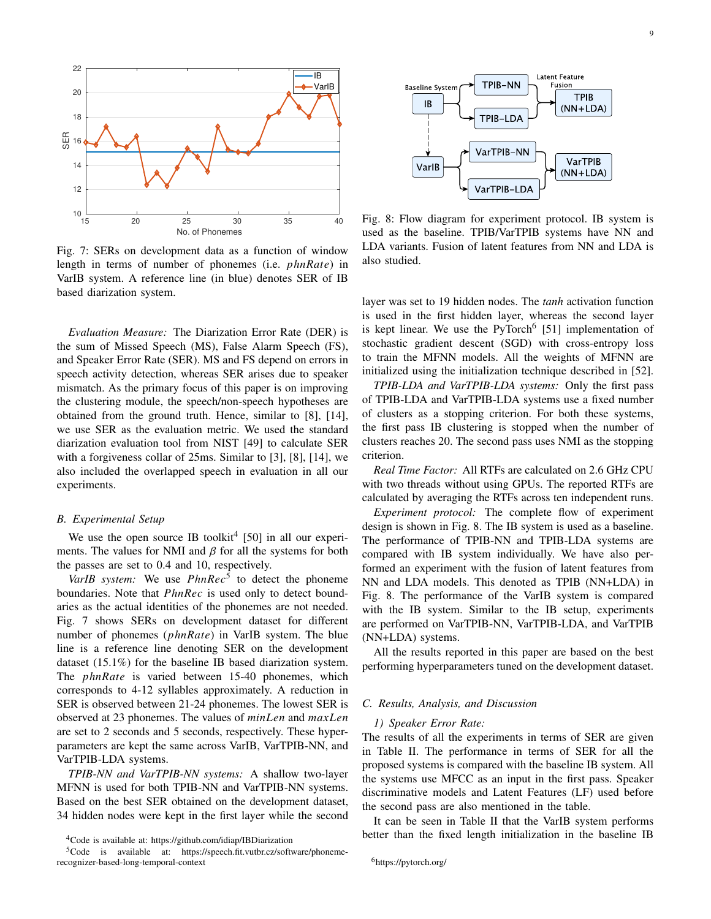

Fig. 7: SERs on development data as a function of window length in terms of number of phonemes (i.e. *phnRate*) in VarIB system. A reference line (in blue) denotes SER of IB based diarization system.

*Evaluation Measure:* The Diarization Error Rate (DER) is the sum of Missed Speech (MS), False Alarm Speech (FS), and Speaker Error Rate (SER). MS and FS depend on errors in speech activity detection, whereas SER arises due to speaker mismatch. As the primary focus of this paper is on improving the clustering module, the speech/non-speech hypotheses are obtained from the ground truth. Hence, similar to [8], [14], we use SER as the evaluation metric. We used the standard diarization evaluation tool from NIST [49] to calculate SER with a forgiveness collar of 25ms. Similar to [3], [8], [14], we also included the overlapped speech in evaluation in all our experiments.

#### *B. Experimental Setup*

We use the open source IB toolkit<sup>4</sup> [50] in all our experiments. The values for NMI and  $\beta$  for all the systems for both the passes are set to 0.4 and 10, respectively.

*VarIB* system: We use  $PhnRec<sup>5</sup>$  to detect the phoneme boundaries. Note that PhnRec is used only to detect boundaries as the actual identities of the phonemes are not needed. Fig. 7 shows SERs on development dataset for different number of phonemes  $(phnRate)$  in VarIB system. The blue line is a reference line denoting SER on the development dataset (15.1%) for the baseline IB based diarization system. The *phnRate* is varied between 15-40 phonemes, which corresponds to 4-12 syllables approximately. A reduction in SER is observed between 21-24 phonemes. The lowest SER is observed at 23 phonemes. The values of  $minLen$  and  $maxLen$ are set to 2 seconds and 5 seconds, respectively. These hyperparameters are kept the same across VarIB, VarTPIB-NN, and VarTPIB-LDA systems.

*TPIB-NN and VarTPIB-NN systems:* A shallow two-layer MFNN is used for both TPIB-NN and VarTPIB-NN systems. Based on the best SER obtained on the development dataset, 34 hidden nodes were kept in the first layer while the second



Fig. 8: Flow diagram for experiment protocol. IB system is used as the baseline. TPIB/VarTPIB systems have NN and LDA variants. Fusion of latent features from NN and LDA is also studied.

layer was set to 19 hidden nodes. The *tanh* activation function is used in the first hidden layer, whereas the second layer is kept linear. We use the PyTorch<sup>6</sup> [51] implementation of stochastic gradient descent (SGD) with cross-entropy loss to train the MFNN models. All the weights of MFNN are initialized using the initialization technique described in [52].

*TPIB-LDA and VarTPIB-LDA systems:* Only the first pass of TPIB-LDA and VarTPIB-LDA systems use a fixed number of clusters as a stopping criterion. For both these systems, the first pass IB clustering is stopped when the number of clusters reaches 20. The second pass uses NMI as the stopping criterion.

*Real Time Factor:* All RTFs are calculated on 2.6 GHz CPU with two threads without using GPUs. The reported RTFs are calculated by averaging the RTFs across ten independent runs.

*Experiment protocol:* The complete flow of experiment design is shown in Fig. 8. The IB system is used as a baseline. The performance of TPIB-NN and TPIB-LDA systems are compared with IB system individually. We have also performed an experiment with the fusion of latent features from NN and LDA models. This denoted as TPIB (NN+LDA) in Fig. 8. The performance of the VarIB system is compared with the IB system. Similar to the IB setup, experiments are performed on VarTPIB-NN, VarTPIB-LDA, and VarTPIB (NN+LDA) systems.

All the results reported in this paper are based on the best performing hyperparameters tuned on the development dataset.

#### *C. Results, Analysis, and Discussion*

#### *1) Speaker Error Rate:*

The results of all the experiments in terms of SER are given in Table II. The performance in terms of SER for all the proposed systems is compared with the baseline IB system. All the systems use MFCC as an input in the first pass. Speaker discriminative models and Latent Features (LF) used before the second pass are also mentioned in the table.

It can be seen in Table II that the VarIB system performs better than the fixed length initialization in the baseline IB

<sup>6</sup>https://pytorch.org/

<sup>4</sup>Code is available at: https://github.com/idiap/IBDiarization

<sup>&</sup>lt;sup>5</sup>Code is available at: https://speech.fit.vutbr.cz/software/phonemerecognizer-based-long-temporal-context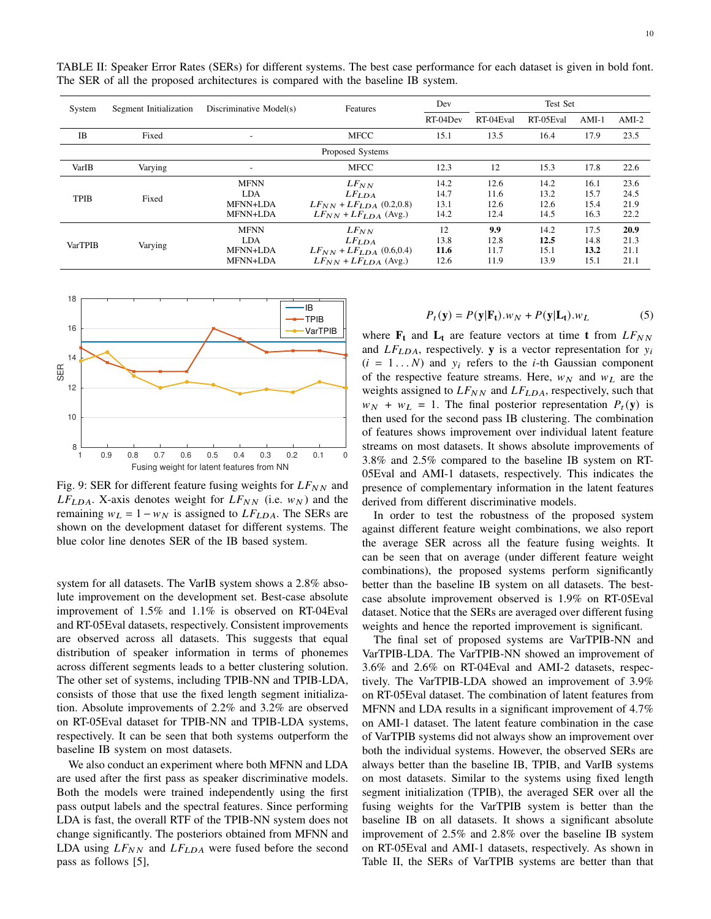10

| System         | Segment Initialization | Discriminative Model(s)                           | Features                                                                                        | Dev                          | Test Set                     |                              |                              |                              |
|----------------|------------------------|---------------------------------------------------|-------------------------------------------------------------------------------------------------|------------------------------|------------------------------|------------------------------|------------------------------|------------------------------|
|                |                        |                                                   |                                                                                                 | RT-04Dev                     | RT-04Eval                    | RT-05Eval                    | $AMI-1$                      | $AMI-2$                      |
| IB             | Fixed                  | $\overline{\phantom{a}}$                          | <b>MFCC</b>                                                                                     | 15.1                         | 13.5                         | 16.4                         | 17.9                         | 23.5                         |
|                |                        |                                                   | Proposed Systems                                                                                |                              |                              |                              |                              |                              |
| VarIB          | Varying                | -                                                 | <b>MFCC</b>                                                                                     | 12.3                         | 12                           | 15.3                         | 17.8                         | 22.6                         |
| <b>TPIB</b>    | Fixed                  | <b>MFNN</b><br><b>LDA</b><br>MFNN+LDA<br>MFNN+LDA | $LF_{NN}$<br>LF <sub>LDA</sub><br>$LF_{NN} + LF_{LDA}$ (0.2,0.8)<br>$LF_{NN} + LF_{LDA}$ (Avg.) | 14.2<br>14.7<br>13.1<br>14.2 | 12.6<br>11.6<br>12.6<br>12.4 | 14.2<br>13.2<br>12.6<br>14.5 | 16.1<br>15.7<br>15.4<br>16.3 | 23.6<br>24.5<br>21.9<br>22.2 |
| <b>VarTPIB</b> | Varying                | <b>MFNN</b><br><b>LDA</b><br>MFNN+LDA<br>MFNN+LDA | $LF_{NN}$<br>LF <sub>LDA</sub><br>$LF_{NN} + LF_{LDA}$ (0.6,0.4)<br>$LF_{NN} + LF_{LDA}$ (Avg.) | 12<br>13.8<br>11.6<br>12.6   | 9.9<br>12.8<br>11.7<br>11.9  | 14.2<br>12.5<br>15.1<br>13.9 | 17.5<br>14.8<br>13.2<br>15.1 | 20.9<br>21.3<br>21.1<br>21.1 |

TABLE II: Speaker Error Rates (SERs) for different systems. The best case performance for each dataset is given in bold font. The SER of all the proposed architectures is compared with the baseline IB system.



Fig. 9: SER for different feature fusing weights for  $LF_{NN}$  and  $LF_{LDA}$ . X-axis denotes weight for  $LF_{NN}$  (i.e.  $w_N$ ) and the remaining  $w_L = 1 - w_N$  is assigned to  $LF_{LDA}$ . The SERs are shown on the development dataset for different systems. The blue color line denotes SER of the IB based system.

system for all datasets. The VarIB system shows a 2.8% absolute improvement on the development set. Best-case absolute improvement of 1.5% and 1.1% is observed on RT-04Eval and RT-05Eval datasets, respectively. Consistent improvements are observed across all datasets. This suggests that equal distribution of speaker information in terms of phonemes across different segments leads to a better clustering solution. The other set of systems, including TPIB-NN and TPIB-LDA, consists of those that use the fixed length segment initialization. Absolute improvements of 2.2% and 3.2% are observed on RT-05Eval dataset for TPIB-NN and TPIB-LDA systems, respectively. It can be seen that both systems outperform the baseline IB system on most datasets.

We also conduct an experiment where both MFNN and LDA are used after the first pass as speaker discriminative models. Both the models were trained independently using the first pass output labels and the spectral features. Since performing LDA is fast, the overall RTF of the TPIB-NN system does not change significantly. The posteriors obtained from MFNN and LDA using  $LF_{NN}$  and  $LF_{LDA}$  were fused before the second pass as follows [5],

$$
P_t(\mathbf{y}) = P(\mathbf{y}|\mathbf{F_t}).w_N + P(\mathbf{y}|\mathbf{L_t}).w_L
$$
 (5)

where  $\mathbf{F}_t$  and  $\mathbf{L}_t$  are feature vectors at time **t** from  $LF_{NN}$ and  $LF_{LDA}$ , respectively. **y** is a vector representation for  $y_i$  $(i = 1...N)$  and  $y_i$  refers to the *i*-th Gaussian component of the respective feature streams. Here,  $w_N$  and  $w_L$  are the weights assigned to  $LF_{NN}$  and  $LF_{LDA}$ , respectively, such that  $w_N + w_L = 1$ . The final posterior representation  $P_t(y)$  is then used for the second pass IB clustering. The combination of features shows improvement over individual latent feature streams on most datasets. It shows absolute improvements of 3.8% and 2.5% compared to the baseline IB system on RT-05Eval and AMI-1 datasets, respectively. This indicates the presence of complementary information in the latent features derived from different discriminative models.

In order to test the robustness of the proposed system against different feature weight combinations, we also report the average SER across all the feature fusing weights. It can be seen that on average (under different feature weight combinations), the proposed systems perform significantly better than the baseline IB system on all datasets. The bestcase absolute improvement observed is 1.9% on RT-05Eval dataset. Notice that the SERs are averaged over different fusing weights and hence the reported improvement is significant.

The final set of proposed systems are VarTPIB-NN and VarTPIB-LDA. The VarTPIB-NN showed an improvement of 3.6% and 2.6% on RT-04Eval and AMI-2 datasets, respectively. The VarTPIB-LDA showed an improvement of 3.9% on RT-05Eval dataset. The combination of latent features from MFNN and LDA results in a significant improvement of 4.7% on AMI-1 dataset. The latent feature combination in the case of VarTPIB systems did not always show an improvement over both the individual systems. However, the observed SERs are always better than the baseline IB, TPIB, and VarIB systems on most datasets. Similar to the systems using fixed length segment initialization (TPIB), the averaged SER over all the fusing weights for the VarTPIB system is better than the baseline IB on all datasets. It shows a significant absolute improvement of 2.5% and 2.8% over the baseline IB system on RT-05Eval and AMI-1 datasets, respectively. As shown in Table II, the SERs of VarTPIB systems are better than that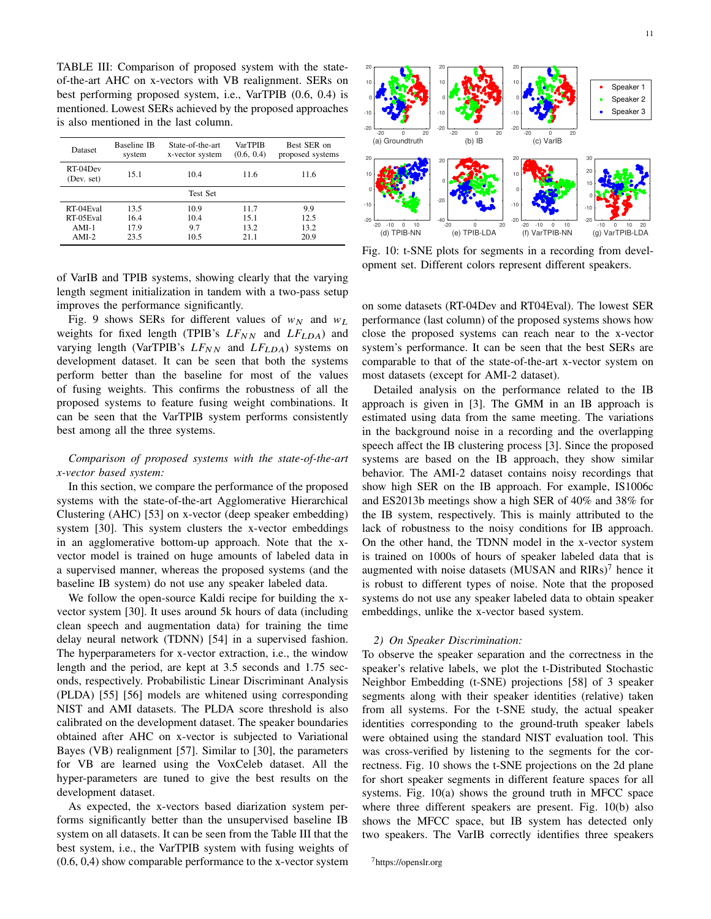TABLE III: Comparison of proposed system with the stateof-the-art AHC on x-vectors with VB realignment. SERs on best performing proposed system, i.e., VarTPIB (0.6, 0.4) is mentioned. Lowest SERs achieved by the proposed approaches is also mentioned in the last column.

| <b>Dataset</b>         | Baseline IB<br>system | State-of-the-art<br>x-vector system | <b>VarTPIB</b><br>(0.6, 0.4) | Best SER on<br>proposed systems |  |  |
|------------------------|-----------------------|-------------------------------------|------------------------------|---------------------------------|--|--|
| RT-04Dev<br>(Dev. set) | 15.1<br>10.4          |                                     | 11.6                         | 11.6                            |  |  |
| <b>Test Set</b>        |                       |                                     |                              |                                 |  |  |
| RT-04Eval              | 13.5                  | 10.9                                | 11.7                         | 9.9                             |  |  |
| RT-05Eval              | 16.4                  | 10.4                                | 15.1                         | 12.5                            |  |  |
| $AMI-1$                | 17.9                  | 9.7                                 | 13.2                         | 13.2                            |  |  |
| $AMI-2$                | 23.5                  | 10.5                                | 21.1                         | 20.9                            |  |  |

of VarIB and TPIB systems, showing clearly that the varying length segment initialization in tandem with a two-pass setup improves the performance significantly.

Fig. 9 shows SERs for different values of  $w_N$  and  $w_L$ weights for fixed length (TPIB's  $LF_{NN}$  and  $LF_{LDA}$ ) and varying length (VarTPIB's  $LF_{NN}$  and  $LF_{LDA}$ ) systems on development dataset. It can be seen that both the systems perform better than the baseline for most of the values of fusing weights. This confirms the robustness of all the proposed systems to feature fusing weight combinations. It can be seen that the VarTPIB system performs consistently best among all the three systems.

# *Comparison of proposed systems with the state-of-the-art x-vector based system:*

In this section, we compare the performance of the proposed systems with the state-of-the-art Agglomerative Hierarchical Clustering (AHC) [53] on x-vector (deep speaker embedding) system [30]. This system clusters the x-vector embeddings in an agglomerative bottom-up approach. Note that the xvector model is trained on huge amounts of labeled data in a supervised manner, whereas the proposed systems (and the baseline IB system) do not use any speaker labeled data.

We follow the open-source Kaldi recipe for building the xvector system [30]. It uses around 5k hours of data (including clean speech and augmentation data) for training the time delay neural network (TDNN) [54] in a supervised fashion. The hyperparameters for x-vector extraction, i.e., the window length and the period, are kept at 3.5 seconds and 1.75 seconds, respectively. Probabilistic Linear Discriminant Analysis (PLDA) [55] [56] models are whitened using corresponding NIST and AMI datasets. The PLDA score threshold is also calibrated on the development dataset. The speaker boundaries obtained after AHC on x-vector is subjected to Variational Bayes (VB) realignment [57]. Similar to [30], the parameters for VB are learned using the VoxCeleb dataset. All the hyper-parameters are tuned to give the best results on the development dataset.

As expected, the x-vectors based diarization system performs significantly better than the unsupervised baseline IB system on all datasets. It can be seen from the Table III that the best system, i.e., the VarTPIB system with fusing weights of (0.6, 0,4) show comparable performance to the x-vector system



Fig. 10: t-SNE plots for segments in a recording from development set. Different colors represent different speakers.

on some datasets (RT-04Dev and RT04Eval). The lowest SER performance (last column) of the proposed systems shows how close the proposed systems can reach near to the x-vector system's performance. It can be seen that the best SERs are comparable to that of the state-of-the-art x-vector system on most datasets (except for AMI-2 dataset).

Detailed analysis on the performance related to the IB approach is given in [3]. The GMM in an IB approach is estimated using data from the same meeting. The variations in the background noise in a recording and the overlapping speech affect the IB clustering process [3]. Since the proposed systems are based on the IB approach, they show similar behavior. The AMI-2 dataset contains noisy recordings that show high SER on the IB approach. For example, IS1006c and ES2013b meetings show a high SER of 40% and 38% for the IB system, respectively. This is mainly attributed to the lack of robustness to the noisy conditions for IB approach. On the other hand, the TDNN model in the x-vector system is trained on 1000s of hours of speaker labeled data that is augmented with noise datasets (MUSAN and  $RIRs$ )<sup>7</sup> hence it is robust to different types of noise. Note that the proposed systems do not use any speaker labeled data to obtain speaker embeddings, unlike the x-vector based system.

#### *2) On Speaker Discrimination:*

To observe the speaker separation and the correctness in the speaker's relative labels, we plot the t-Distributed Stochastic Neighbor Embedding (t-SNE) projections [58] of 3 speaker segments along with their speaker identities (relative) taken from all systems. For the t-SNE study, the actual speaker identities corresponding to the ground-truth speaker labels were obtained using the standard NIST evaluation tool. This was cross-verified by listening to the segments for the correctness. Fig. 10 shows the t-SNE projections on the 2d plane for short speaker segments in different feature spaces for all systems. Fig. 10(a) shows the ground truth in MFCC space where three different speakers are present. Fig. 10(b) also shows the MFCC space, but IB system has detected only two speakers. The VarIB correctly identifies three speakers

<sup>7</sup>https://openslr.org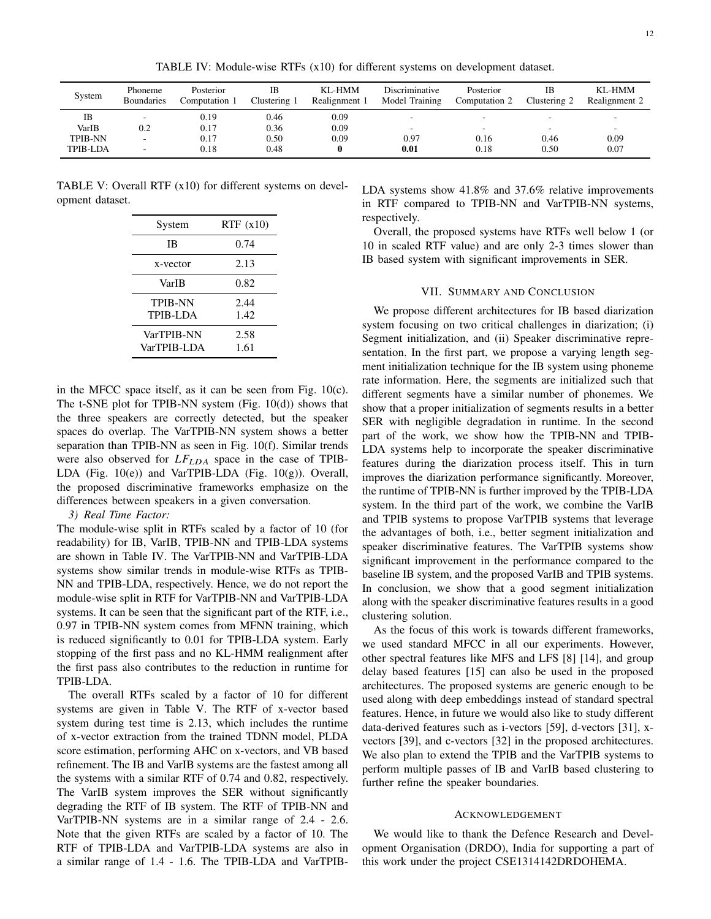TABLE IV: Module-wise RTFs (x10) for different systems on development dataset.

| Computation 1 | IΒ<br>Clustering 1 | KL-HMM<br>Realignment 1 | <b>Discriminative</b><br>Model Training | Posterior<br>Computation 2 | IB<br>Clustering 2 | KL-HMM<br>Realignment 2  |
|---------------|--------------------|-------------------------|-----------------------------------------|----------------------------|--------------------|--------------------------|
| 0.19          | 0.46               | 0.09                    | -                                       |                            |                    |                          |
| 0.17          | 0.36               | 0.09                    | $\overline{\phantom{a}}$                |                            |                    | $\overline{\phantom{a}}$ |
| 0.17          | 0.50               | 0.09                    | 0.97                                    | 0.16                       | 0.46               | 0.09                     |
| 0.18          | 0.48               |                         | 0.01                                    | 0.18                       | 0.50               | 0.07                     |
|               |                    |                         |                                         |                            |                    |                          |

TABLE V: Overall RTF (x10) for different systems on development dataset.

| System                            | RTF(x10)     |
|-----------------------------------|--------------|
| ΙB                                | 0.74         |
| x-vector                          | 2.13         |
| VarIB                             | 0.82         |
| <b>TPIB-NN</b><br><b>TPIB-LDA</b> | 2.44<br>1.42 |
| VarTPIB-NN<br>VarTPIB-LDA         | 2.58<br>1.61 |

in the MFCC space itself, as it can be seen from Fig. 10(c). The t-SNE plot for TPIB-NN system (Fig. 10(d)) shows that the three speakers are correctly detected, but the speaker spaces do overlap. The VarTPIB-NN system shows a better separation than TPIB-NN as seen in Fig. 10(f). Similar trends were also observed for  $LF_{LDA}$  space in the case of TPIB-LDA (Fig. 10(e)) and VarTPIB-LDA (Fig. 10(g)). Overall, the proposed discriminative frameworks emphasize on the differences between speakers in a given conversation.

## *3) Real Time Factor:*

The module-wise split in RTFs scaled by a factor of 10 (for readability) for IB, VarIB, TPIB-NN and TPIB-LDA systems are shown in Table IV. The VarTPIB-NN and VarTPIB-LDA systems show similar trends in module-wise RTFs as TPIB-NN and TPIB-LDA, respectively. Hence, we do not report the module-wise split in RTF for VarTPIB-NN and VarTPIB-LDA systems. It can be seen that the significant part of the RTF, i.e., 0.97 in TPIB-NN system comes from MFNN training, which is reduced significantly to 0.01 for TPIB-LDA system. Early stopping of the first pass and no KL-HMM realignment after the first pass also contributes to the reduction in runtime for TPIB-LDA.

The overall RTFs scaled by a factor of 10 for different systems are given in Table V. The RTF of x-vector based system during test time is 2.13, which includes the runtime of x-vector extraction from the trained TDNN model, PLDA score estimation, performing AHC on x-vectors, and VB based refinement. The IB and VarIB systems are the fastest among all the systems with a similar RTF of 0.74 and 0.82, respectively. The VarIB system improves the SER without significantly degrading the RTF of IB system. The RTF of TPIB-NN and VarTPIB-NN systems are in a similar range of 2.4 - 2.6. Note that the given RTFs are scaled by a factor of 10. The RTF of TPIB-LDA and VarTPIB-LDA systems are also in a similar range of 1.4 - 1.6. The TPIB-LDA and VarTPIB-

LDA systems show 41.8% and 37.6% relative improvements in RTF compared to TPIB-NN and VarTPIB-NN systems, respectively.

Overall, the proposed systems have RTFs well below 1 (or 10 in scaled RTF value) and are only 2-3 times slower than IB based system with significant improvements in SER.

## VII. SUMMARY AND CONCLUSION

We propose different architectures for IB based diarization system focusing on two critical challenges in diarization; (i) Segment initialization, and (ii) Speaker discriminative representation. In the first part, we propose a varying length segment initialization technique for the IB system using phoneme rate information. Here, the segments are initialized such that different segments have a similar number of phonemes. We show that a proper initialization of segments results in a better SER with negligible degradation in runtime. In the second part of the work, we show how the TPIB-NN and TPIB-LDA systems help to incorporate the speaker discriminative features during the diarization process itself. This in turn improves the diarization performance significantly. Moreover, the runtime of TPIB-NN is further improved by the TPIB-LDA system. In the third part of the work, we combine the VarIB and TPIB systems to propose VarTPIB systems that leverage the advantages of both, i.e., better segment initialization and speaker discriminative features. The VarTPIB systems show significant improvement in the performance compared to the baseline IB system, and the proposed VarIB and TPIB systems. In conclusion, we show that a good segment initialization along with the speaker discriminative features results in a good clustering solution.

As the focus of this work is towards different frameworks, we used standard MFCC in all our experiments. However, other spectral features like MFS and LFS [8] [14], and group delay based features [15] can also be used in the proposed architectures. The proposed systems are generic enough to be used along with deep embeddings instead of standard spectral features. Hence, in future we would also like to study different data-derived features such as i-vectors [59], d-vectors [31], xvectors [39], and c-vectors [32] in the proposed architectures. We also plan to extend the TPIB and the VarTPIB systems to perform multiple passes of IB and VarIB based clustering to further refine the speaker boundaries.

#### ACKNOWLEDGEMENT

We would like to thank the Defence Research and Development Organisation (DRDO), India for supporting a part of this work under the project CSE1314142DRDOHEMA.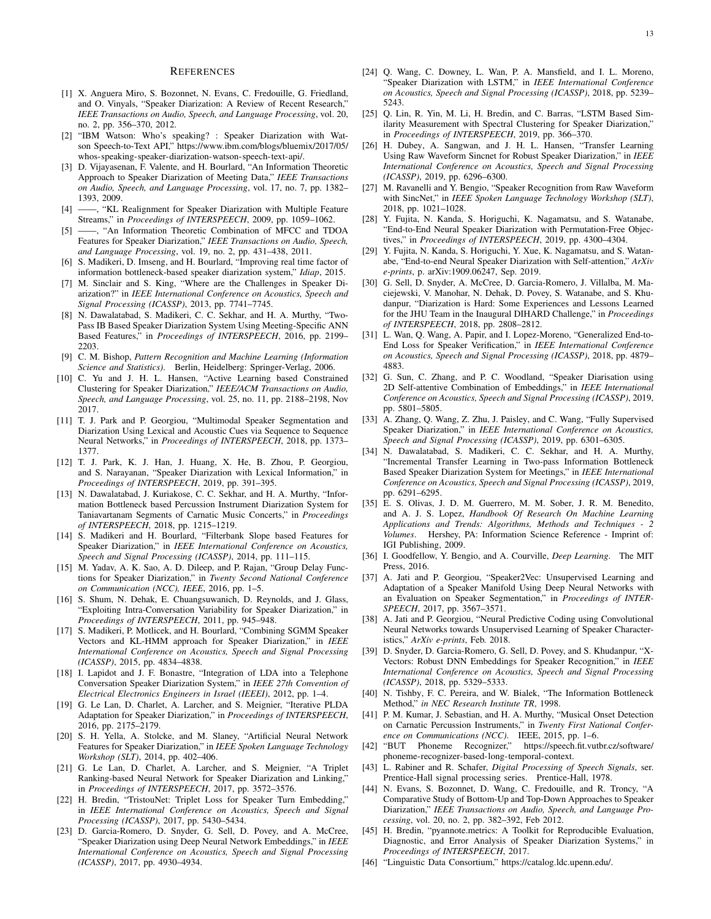#### **REFERENCES**

- [1] X. Anguera Miro, S. Bozonnet, N. Evans, C. Fredouille, G. Friedland, and O. Vinyals, "Speaker Diarization: A Review of Recent Research," *IEEE Transactions on Audio, Speech, and Language Processing*, vol. 20, no. 2, pp. 356–370, 2012.
- [2] "IBM Watson: Who's speaking? : Speaker Diarization with Watson Speech-to-Text API," https://www.ibm.com/blogs/bluemix/2017/05/ whos-speaking-speaker-diarization-watson-speech-text-api/.
- [3] D. Vijayasenan, F. Valente, and H. Bourlard, "An Information Theoretic Approach to Speaker Diarization of Meeting Data," *IEEE Transactions on Audio, Speech, and Language Processing*, vol. 17, no. 7, pp. 1382– 1393, 2009.
- [4] ——, "KL Realignment for Speaker Diarization with Multiple Feature Streams," in *Proceedings of INTERSPEECH*, 2009, pp. 1059–1062.
- [5] ——, "An Information Theoretic Combination of MFCC and TDOA Features for Speaker Diarization," *IEEE Transactions on Audio, Speech, and Language Processing*, vol. 19, no. 2, pp. 431–438, 2011.
- [6] S. Madikeri, D. Imseng, and H. Bourlard, "Improving real time factor of information bottleneck-based speaker diarization system," *Idiap*, 2015.
- [7] M. Sinclair and S. King, "Where are the Challenges in Speaker Diarization?" in *IEEE International Conference on Acoustics, Speech and Signal Processing (ICASSP)*, 2013, pp. 7741–7745.
- [8] N. Dawalatabad, S. Madikeri, C. C. Sekhar, and H. A. Murthy, "Two-Pass IB Based Speaker Diarization System Using Meeting-Specific ANN Based Features," in *Proceedings of INTERSPEECH*, 2016, pp. 2199– 2203.
- [9] C. M. Bishop, *Pattern Recognition and Machine Learning (Information Science and Statistics)*. Berlin, Heidelberg: Springer-Verlag, 2006.
- [10] C. Yu and J. H. L. Hansen, "Active Learning based Constrained Clustering for Speaker Diarization," *IEEE/ACM Transactions on Audio, Speech, and Language Processing*, vol. 25, no. 11, pp. 2188–2198, Nov 2017.
- [11] T. J. Park and P. Georgiou, "Multimodal Speaker Segmentation and Diarization Using Lexical and Acoustic Cues via Sequence to Sequence Neural Networks," in *Proceedings of INTERSPEECH*, 2018, pp. 1373– 1377.
- [12] T. J. Park, K. J. Han, J. Huang, X. He, B. Zhou, P. Georgiou, and S. Narayanan, "Speaker Diarization with Lexical Information," in *Proceedings of INTERSPEECH*, 2019, pp. 391–395.
- [13] N. Dawalatabad, J. Kuriakose, C. C. Sekhar, and H. A. Murthy, "Information Bottleneck based Percussion Instrument Diarization System for Taniavartanam Segments of Carnatic Music Concerts," in *Proceedings of INTERSPEECH*, 2018, pp. 1215–1219.
- [14] S. Madikeri and H. Bourlard, "Filterbank Slope based Features for Speaker Diarization," in *IEEE International Conference on Acoustics, Speech and Signal Processing (ICASSP)*, 2014, pp. 111–115.
- [15] M. Yadav, A. K. Sao, A. D. Dileep, and P. Rajan, "Group Delay Functions for Speaker Diarization," in *Twenty Second National Conference on Communication (NCC), IEEE*, 2016, pp. 1–5.
- [16] S. Shum, N. Dehak, E. Chuangsuwanich, D. Reynolds, and J. Glass, "Exploiting Intra-Conversation Variability for Speaker Diarization," in *Proceedings of INTERSPEECH*, 2011, pp. 945–948.
- [17] S. Madikeri, P. Motlicek, and H. Bourlard, "Combining SGMM Speaker Vectors and KL-HMM approach for Speaker Diarization," in *IEEE International Conference on Acoustics, Speech and Signal Processing (ICASSP)*, 2015, pp. 4834–4838.
- [18] I. Lapidot and J. F. Bonastre, "Integration of LDA into a Telephone Conversation Speaker Diarization System," in *IEEE 27th Convention of Electrical Electronics Engineers in Israel (IEEEI)*, 2012, pp. 1–4.
- [19] G. Le Lan, D. Charlet, A. Larcher, and S. Meignier, "Iterative PLDA Adaptation for Speaker Diarization," in *Proceedings of INTERSPEECH*, 2016, pp. 2175–2179.
- [20] S. H. Yella, A. Stolcke, and M. Slaney, "Artificial Neural Network Features for Speaker Diarization," in *IEEE Spoken Language Technology Workshop (SLT)*, 2014, pp. 402–406.
- [21] G. Le Lan, D. Charlet, A. Larcher, and S. Meignier, "A Triplet Ranking-based Neural Network for Speaker Diarization and Linking," in *Proceedings of INTERSPEECH*, 2017, pp. 3572–3576.
- [22] H. Bredin, "TristouNet: Triplet Loss for Speaker Turn Embedding," in *IEEE International Conference on Acoustics, Speech and Signal Processing (ICASSP)*, 2017, pp. 5430–5434.
- [23] D. Garcia-Romero, D. Snyder, G. Sell, D. Povey, and A. McCree, "Speaker Diarization using Deep Neural Network Embeddings," in *IEEE International Conference on Acoustics, Speech and Signal Processing (ICASSP)*, 2017, pp. 4930–4934.
- [24] Q. Wang, C. Downey, L. Wan, P. A. Mansfield, and I. L. Moreno, "Speaker Diarization with LSTM," in *IEEE International Conference on Acoustics, Speech and Signal Processing (ICASSP)*, 2018, pp. 5239– 5243.
- [25] Q. Lin, R. Yin, M. Li, H. Bredin, and C. Barras, "LSTM Based Similarity Measurement with Spectral Clustering for Speaker Diarization," in *Proceedings of INTERSPEECH*, 2019, pp. 366–370.
- [26] H. Dubey, A. Sangwan, and J. H. L. Hansen, "Transfer Learning Using Raw Waveform Sincnet for Robust Speaker Diarization," in *IEEE International Conference on Acoustics, Speech and Signal Processing (ICASSP)*, 2019, pp. 6296–6300.
- [27] M. Ravanelli and Y. Bengio, "Speaker Recognition from Raw Waveform with SincNet," in *IEEE Spoken Language Technology Workshop (SLT)*, 2018, pp. 1021–1028.
- [28] Y. Fujita, N. Kanda, S. Horiguchi, K. Nagamatsu, and S. Watanabe, "End-to-End Neural Speaker Diarization with Permutation-Free Objectives," in *Proceedings of INTERSPEECH*, 2019, pp. 4300–4304.
- [29] Y. Fujita, N. Kanda, S. Horiguchi, Y. Xue, K. Nagamatsu, and S. Watanabe, "End-to-end Neural Speaker Diarization with Self-attention," *ArXiv e-prints*, p. arXiv:1909.06247, Sep. 2019.
- [30] G. Sell, D. Snyder, A. McCree, D. Garcia-Romero, J. Villalba, M. Maciejewski, V. Manohar, N. Dehak, D. Povey, S. Watanabe, and S. Khudanpur, "Diarization is Hard: Some Experiences and Lessons Learned for the JHU Team in the Inaugural DIHARD Challenge," in *Proceedings of INTERSPEECH*, 2018, pp. 2808–2812.
- [31] L. Wan, Q. Wang, A. Papir, and I. Lopez-Moreno, "Generalized End-to-End Loss for Speaker Verification," in *IEEE International Conference on Acoustics, Speech and Signal Processing (ICASSP)*, 2018, pp. 4879– 4883.
- [32] G. Sun, C. Zhang, and P. C. Woodland, "Speaker Diarisation using 2D Self-attentive Combination of Embeddings," in *IEEE International Conference on Acoustics, Speech and Signal Processing (ICASSP)*, 2019, pp. 5801–5805.
- [33] A. Zhang, Q. Wang, Z. Zhu, J. Paisley, and C. Wang, "Fully Supervised Speaker Diarization," in *IEEE International Conference on Acoustics, Speech and Signal Processing (ICASSP)*, 2019, pp. 6301–6305.
- [34] N. Dawalatabad, S. Madikeri, C. C. Sekhar, and H. A. Murthy, "Incremental Transfer Learning in Two-pass Information Bottleneck Based Speaker Diarization System for Meetings," in *IEEE International Conference on Acoustics, Speech and Signal Processing (ICASSP)*, 2019, pp. 6291–6295.
- [35] E. S. Olivas, J. D. M. Guerrero, M. M. Sober, J. R. M. Benedito, and A. J. S. Lopez, *Handbook Of Research On Machine Learning Applications and Trends: Algorithms, Methods and Techniques - 2 Volumes*. Hershey, PA: Information Science Reference - Imprint of: IGI Publishing, 2009.
- [36] I. Goodfellow, Y. Bengio, and A. Courville, *Deep Learning*. The MIT Press, 2016.
- [37] A. Jati and P. Georgiou, "Speaker2Vec: Unsupervised Learning and Adaptation of a Speaker Manifold Using Deep Neural Networks with an Evaluation on Speaker Segmentation," in *Proceedings of INTER-SPEECH*, 2017, pp. 3567–3571.
- [38] A. Jati and P. Georgiou, "Neural Predictive Coding using Convolutional Neural Networks towards Unsupervised Learning of Speaker Characteristics," *ArXiv e-prints*, Feb. 2018.
- [39] D. Snyder, D. Garcia-Romero, G. Sell, D. Povey, and S. Khudanpur, "X-Vectors: Robust DNN Embeddings for Speaker Recognition," in *IEEE International Conference on Acoustics, Speech and Signal Processing (ICASSP)*, 2018, pp. 5329–5333.
- [40] N. Tishby, F. C. Pereira, and W. Bialek, "The Information Bottleneck Method," *in NEC Research Institute TR*, 1998.
- [41] P. M. Kumar, J. Sebastian, and H. A. Murthy, "Musical Onset Detection on Carnatic Percussion Instruments," in *Twenty First National Conference on Communications (NCC)*. IEEE, 2015, pp. 1–6.
- [42] "BUT Phoneme Recognizer," https://speech.fit.vutbr.cz/software/ phoneme-recognizer-based-long-temporal-context.
- [43] L. Rabiner and R. Schafer, *Digital Processing of Speech Signals*, ser. Prentice-Hall signal processing series. Prentice-Hall, 1978.
- [44] N. Evans, S. Bozonnet, D. Wang, C. Fredouille, and R. Troncy, "A Comparative Study of Bottom-Up and Top-Down Approaches to Speaker Diarization," *IEEE Transactions on Audio, Speech, and Language Processing*, vol. 20, no. 2, pp. 382–392, Feb 2012.
- [45] H. Bredin, "pyannote.metrics: A Toolkit for Reproducible Evaluation, Diagnostic, and Error Analysis of Speaker Diarization Systems," in *Proceedings of INTERSPEECH*, 2017.
- [46] "Linguistic Data Consortium," https://catalog.ldc.upenn.edu/.